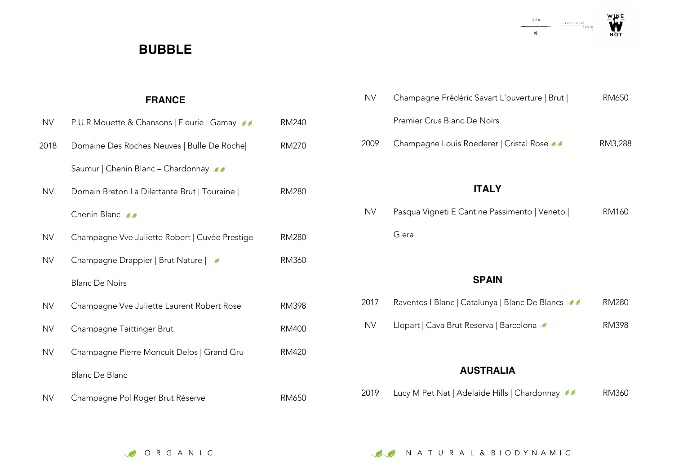

### **BUBBLE**

### **FRANCE**

| <b>NV</b> | P.U.R Mouette & Chansons   Fleurie   Gamay     | <b>RM240</b> |
|-----------|------------------------------------------------|--------------|
| 2018      | Domaine Des Roches Neuves   Bulle De Roche     | <b>RM270</b> |
|           | Saumur   Chenin Blanc - Chardonnay 11          |              |
| NV.       | Domain Breton La Dilettante Brut   Touraine    | RM280        |
|           | Chenin Blanc                                   |              |
| <b>NV</b> | Champagne Vve Juliette Robert   Cuvée Prestige | RM280        |
| <b>NV</b> | Champagne Drappier   Brut Nature   J           | RM360        |
|           | <b>Blanc De Noirs</b>                          |              |
| <b>NV</b> | Champagne Vve Juliette Laurent Robert Rose     | <b>RM398</b> |
| <b>NV</b> | Champagne Taittinger Brut                      | <b>RM400</b> |
| <b>NV</b> | Champagne Pierre Moncuit Delos   Grand Gru     | <b>RM420</b> |
|           | Blanc De Blanc                                 |              |
| <b>NV</b> | Champagne Pol Roger Brut Réserve               | RM650        |

| NV.   | Champagne Frédéric Savart L'ouverture   Brut | RM650   |
|-------|----------------------------------------------|---------|
|       | Premier Crus Blanc De Noirs                  |         |
| 2009. | Champagne Louis Roederer   Cristal Rose      | RM3,288 |

### **ITALY**

NV Pasqua Vigneti E Cantine Passimento | Veneto | RM160

### Glera

### **SPAIN**

| 2017 | Raventos I Blanc   Catalunya   Blanc De Blancs |  | RM280 |
|------|------------------------------------------------|--|-------|
|      |                                                |  |       |

NV Llopart | Cava Brut Reserva | Barcelona **Amir Amaz | RM398** 

### **AUSTRALIA**

| 2019 |  |  | Lucy M Pet Nat   Adelaide Hills   Chardonnay | RM360 |
|------|--|--|----------------------------------------------|-------|
|------|--|--|----------------------------------------------|-------|

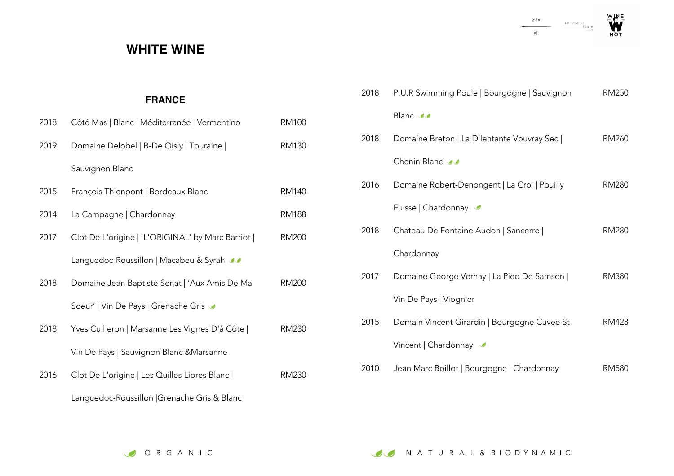

### **WHITE WINE**

### **FRANCE**

| 2018 | Côté Mas   Blanc   Méditerranée   Vermentino     | <b>RM100</b> |
|------|--------------------------------------------------|--------------|
| 2019 | Domaine Delobel   B-De Oisly   Touraine          | <b>RM130</b> |
|      | Sauvignon Blanc                                  |              |
| 2015 | François Thienpont   Bordeaux Blanc              | <b>RM140</b> |
| 2014 | La Campagne   Chardonnay                         | <b>RM188</b> |
| 2017 | Clot De L'origine   'L'ORIGINAL' by Marc Barriot | <b>RM200</b> |
|      | Languedoc-Roussillon   Macabeu & Syrah           |              |
| 2018 | Domaine Jean Baptiste Senat   'Aux Amis De Ma    | <b>RM200</b> |
|      | Soeur'   Vin De Pays   Grenache Gris             |              |
| 2018 | Yves Cuilleron   Marsanne Les Vignes D'à Côte    | <b>RM230</b> |
|      | Vin De Pays   Sauvignon Blanc & Marsanne         |              |
| 2016 | Clot De L'origine   Les Quilles Libres Blanc     | <b>RM230</b> |
|      | Languedoc-Roussillon Grenache Gris & Blanc       |              |

| 2018 | P.U.R Swimming Poule   Bourgogne   Sauvignon | RM250        |
|------|----------------------------------------------|--------------|
|      | Blanc du                                     |              |
| 2018 | Domaine Breton   La Dilentante Vouvray Sec   | RM260        |
|      | Chenin Blanc                                 |              |
| 2016 | Domaine Robert-Denongent   La Croi   Pouilly | RM280        |
|      | Fuisse   Chardonnay                          |              |
| 2018 | Chateau De Fontaine Audon   Sancerre         | RM280        |
|      | Chardonnay                                   |              |
| 2017 | Domaine George Vernay   La Pied De Samson    | <b>RM380</b> |
|      | Vin De Pays   Viognier                       |              |
| 2015 | Domain Vincent Girardin   Bourgogne Cuvee St | <b>RM428</b> |
|      | Vincent   Chardonnay                         |              |
| 2010 | Jean Marc Boillot   Bourgogne   Chardonnay   | RM580        |

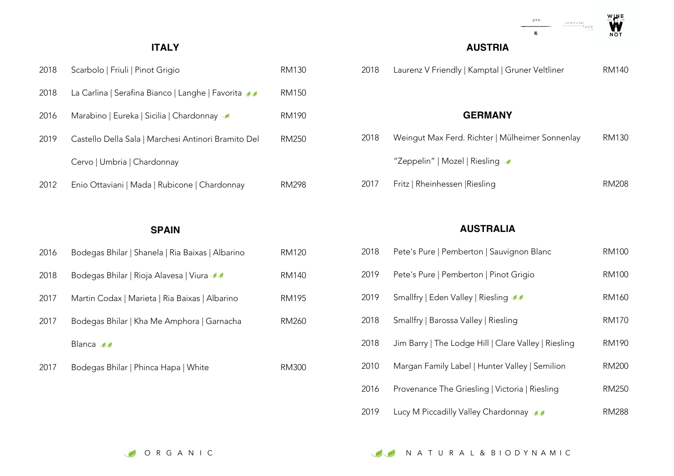### **ITALY**

| 2018 | Scarbolo   Friuli   Pinot Grigio                    | RM130 |
|------|-----------------------------------------------------|-------|
| 2018 | La Carlina   Serafina Bianco   Langhe   Favorita    | RM150 |
| 2016 | Marabino   Eureka   Sicilia   Chardonnay            | RM190 |
| 2019 | Castello Della Sala   Marchesi Antinori Bramito Del | RM250 |
|      | Cervo   Umbria   Chardonnay                         |       |
| 2012 | Enio Ottaviani   Mada   Rubicone   Chardonnay       | RM298 |

#### **SPAIN**

| 2016 | Bodegas Bhilar   Shanela   Ria Baixas   Albarino | RM120 |
|------|--------------------------------------------------|-------|
| 2018 | Bodegas Bhilar   Rioja Alavesa   Viura           | RM140 |
| 2017 | Martin Codax   Marieta   Ria Baixas   Albarino   | RM195 |
| 2017 | Bodegas Bhilar   Kha Me Amphora   Garnacha       | RM260 |
|      | Blanca JJ                                        |       |
| 2017 | Bodegas Bhilar   Phinca Hapa   White             | RM300 |

# 2018 Laurenz V Friendly | Kamptal | Gruner Veltliner RM140 **GERMANY** 2018 Weingut Max Ferd. Richter | Mülheimer Sonnenlay "Zeppelin" | Mozel | Riesling RM130 2017 Fritz | Rheinhessen | Riesling **RM208**

**AUSTRIA**

**WANTED** 

 $\frac{g \tilde{e} n}{\frac{1}{\log n}}$  communal roble

 $#$ 

### **AUSTRALIA**

| 2018 | Pete's Pure   Pemberton   Sauvignon Blanc            | <b>RM100</b> |
|------|------------------------------------------------------|--------------|
| 2019 | Pete's Pure   Pemberton   Pinot Grigio               | RM100        |
| 2019 | Smallfry   Eden Valley   Riesling                    | RM160        |
| 2018 | Smallfry   Barossa Valley   Riesling                 | RM170        |
| 2018 | Jim Barry   The Lodge Hill   Clare Valley   Riesling | <b>RM190</b> |
| 2010 | Margan Family Label   Hunter Valley   Semilion       | <b>RM200</b> |
| 2016 | Provenance The Griesling   Victoria   Riesling       | <b>RM250</b> |
| 2019 | Lucy M Piccadilly Valley Chardonnay                  | RM288        |

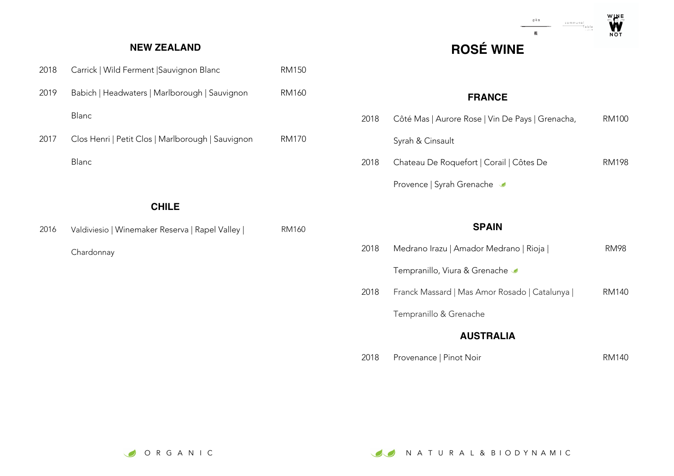### **NEW ZEALAND**

| 2018 | Carrick   Wild Ferment   Sauvignon Blanc          | RM150 |
|------|---------------------------------------------------|-------|
| 2019 | Babich   Headwaters   Marlborough   Sauvignon     | RM160 |
|      | Blanc                                             |       |
| 2017 | Clos Henri   Petit Clos   Marlborough   Sauvignon | RM170 |
|      | Blanc                                             |       |
|      |                                                   |       |
|      |                                                   |       |

### **CHILE**

| 2016 | Valdiviesio   Winemaker Reserva   Rapel Valley | RM160 |
|------|------------------------------------------------|-------|
|      | Chardonnay                                     |       |

# **ROSÉ WINE**

 $\begin{picture}(120,110) \put(0,0){\line(1,0){100}} \put(15,0){\line(1,0){100}} \put(15,0){\line(1,0){100}} \put(15,0){\line(1,0){100}} \put(15,0){\line(1,0){100}} \put(15,0){\line(1,0){100}} \put(15,0){\line(1,0){100}} \put(15,0){\line(1,0){100}} \put(15,0){\line(1,0){100}} \put(15,0){\line(1,0){100}} \put(15,0){\line(1,0){100$ 

### **FRANCE**

| 2018 | Côté Mas   Aurore Rose   Vin De Pays   Grenacha, | RM100 |
|------|--------------------------------------------------|-------|
|      | Syrah & Cinsault                                 |       |
| 2018 | Chateau De Roquefort   Corail   Côtes De         | RM198 |
|      | Provence   Syrah Grenache                        |       |

### **SPAIN**

|      | <b>AUSTRALIA</b>                             |       |
|------|----------------------------------------------|-------|
|      | Tempranillo & Grenache                       |       |
| 2018 | Franck Massard   Mas Amor Rosado   Catalunya | RM140 |
|      | Tempranillo, Viura & Grenache                |       |
| 2018 | Medrano Irazu   Amador Medrano   Rioja       | RM98  |

### 2018 Provenance | Pinot Noir RM140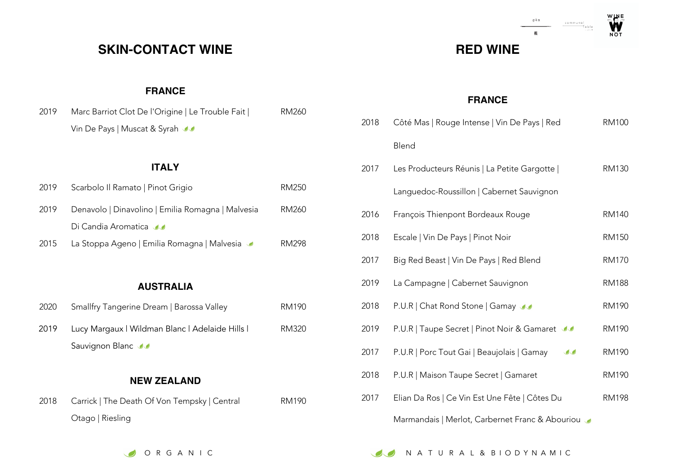### **SKIN-CONTACT WINE**

### **FRANCE**

| 2019 | Marc Barriot Clot De l'Origine   Le Trouble Fait | RM260 |
|------|--------------------------------------------------|-------|
|      | Vin De Pays   Muscat & Syrah                     |       |

### **ITALY**

| 2019 | Scarbolo II Ramato   Pinot Grigio                 | RM250 |
|------|---------------------------------------------------|-------|
| 2019 | Denavolo   Dinavolino   Emilia Romagna   Malvesia | RM260 |
|      | Di Candia Aromatica                               |       |
| 2015 | La Stoppa Ageno   Emilia Romagna   Malvesia       | RM298 |

### **AUSTRALIA**

| 2020 | Smallfry Tangerine Dream   Barossa Valley     | RM190 |
|------|-----------------------------------------------|-------|
| 2019 | Lucy Margaux   Wildman Blanc   Adelaide Hills | RM320 |
|      | Sauvignon Blanc                               |       |

### **NEW ZEALAND**

| 2018 | Carrick   The Death Of Von Tempsky   Central | RM190 |
|------|----------------------------------------------|-------|
|      | Otago   Riesling                             |       |



**WHIPE** 

### **RED WINE**

### **FRANCE**

| 2018 | Côté Mas   Rouge Intense   Vin De Pays   Red                   | <b>RM100</b> |
|------|----------------------------------------------------------------|--------------|
|      | Blend                                                          |              |
| 2017 | Les Producteurs Réunis   La Petite Gargotte                    | RM130        |
|      | Languedoc-Roussillon   Cabernet Sauvignon                      |              |
| 2016 | François Thienpont Bordeaux Rouge                              | RM140        |
| 2018 | Escale   Vin De Pays   Pinot Noir                              | RM150        |
| 2017 | Big Red Beast   Vin De Pays   Red Blend                        | <b>RM170</b> |
| 2019 | La Campagne   Cabernet Sauvignon                               | <b>RM188</b> |
| 2018 | P.U.R   Chat Rond Stone   Gamay                                | <b>RM190</b> |
| 2019 | P.U.R   Taupe Secret   Pinot Noir & Gamaret                    | RM190        |
| 2017 | P.U.R   Porc Tout Gai   Beaujolais   Gamay<br>$\bullet\bullet$ | <b>RM190</b> |
| 2018 | P.U.R   Maison Taupe Secret   Gamaret                          | RM190        |
| 2017 | Elian Da Ros   Ce Vin Est Une Fête   Côtes Du                  | <b>RM198</b> |
|      | Marmandais   Merlot, Carbernet Franc & Abouriou                |              |

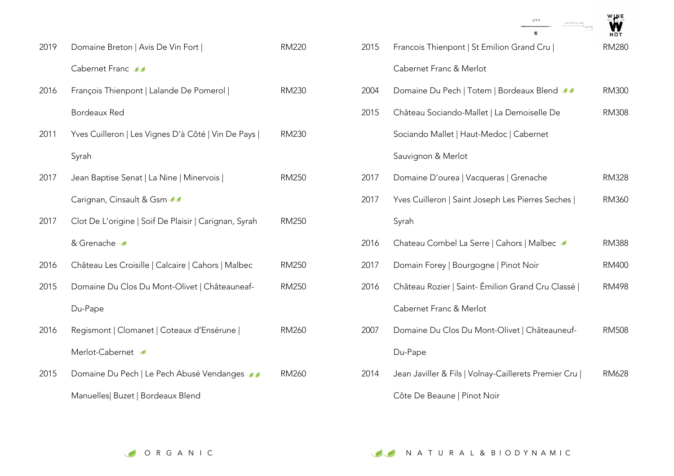| 2019 | Domaine Breton   Avis De Vin Fort                     | <b>RM220</b> |
|------|-------------------------------------------------------|--------------|
|      | Cabernet Franc                                        |              |
| 2016 | François Thienpont   Lalande De Pomerol               | <b>RM230</b> |
|      | Bordeaux Red                                          |              |
| 2011 | Yves Cuilleron   Les Vignes D'à Côté   Vin De Pays    | RM230        |
|      | Syrah                                                 |              |
| 2017 | Jean Baptise Senat   La Nine   Minervois              | <b>RM250</b> |
|      | Carignan, Cinsault & Gsm                              |              |
| 2017 | Clot De L'origine   Soif De Plaisir   Carignan, Syrah | <b>RM250</b> |
|      | & Grenache                                            |              |
| 2016 | Château Les Croisille   Calcaire   Cahors   Malbec    | <b>RM250</b> |
| 2015 | Domaine Du Clos Du Mont-Olivet   Châteauneaf-         | <b>RM250</b> |
|      | Du-Pape                                               |              |
| 2016 | Regismont   Clomanet   Coteaux d'Ensérune             | <b>RM260</b> |
|      | Merlot-Cabernet                                       |              |
| 2015 | Domaine Du Pech   Le Pech Abusé Vendanges             | <b>RM260</b> |
|      | Manuelles  Buzet   Bordeaux Blend                     |              |

|      | communal<br>Toble<br>根                               | WINE         |
|------|------------------------------------------------------|--------------|
| 2015 | Francois Thienpont   St Emilion Grand Cru            | <b>RM280</b> |
|      | Cabernet Franc & Merlot                              |              |
| 2004 | Domaine Du Pech   Totem   Bordeaux Blend             | <b>RM300</b> |
| 2015 | Château Sociando-Mallet   La Demoiselle De           | <b>RM308</b> |
|      | Sociando Mallet   Haut-Medoc   Cabernet              |              |
|      | Sauvignon & Merlot                                   |              |
| 2017 | Domaine D'ourea   Vacqueras   Grenache               | <b>RM328</b> |
| 2017 | Yves Cuilleron   Saint Joseph Les Pierres Seches     | <b>RM360</b> |
|      | Syrah                                                |              |
| 2016 | Chateau Combel La Serre   Cahors   Malbec            | <b>RM388</b> |
| 2017 | Domain Forey   Bourgogne   Pinot Noir                | <b>RM400</b> |
| 2016 | Château Rozier   Saint- Émilion Grand Cru Classé     | <b>RM498</b> |
|      | Cabernet Franc & Merlot                              |              |
| 2007 | Domaine Du Clos Du Mont-Olivet   Châteauneuf-        | <b>RM508</b> |
|      | Du-Pape                                              |              |
| 2014 | Jean Javiller & Fils   Volnay-Caillerets Premier Cru | <b>RM628</b> |
|      | Côte De Beaune   Pinot Noir                          |              |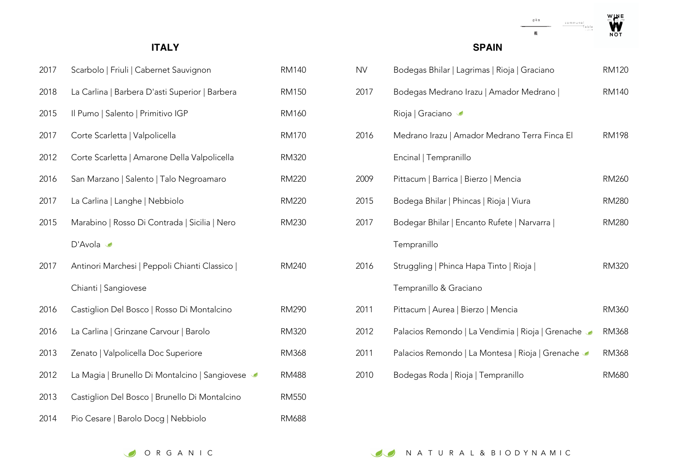### **ITALY**

| 2017 | Scarbolo   Friuli   Cabernet Sauvignon         | <b>RM140</b> |
|------|------------------------------------------------|--------------|
| 2018 | La Carlina   Barbera D'asti Superior   Barbera | <b>RM150</b> |
| 2015 | Il Pumo   Salento   Primitivo IGP              | RM160        |
| 2017 | Corte Scarletta   Valpolicella                 | <b>RM170</b> |
| 2012 | Corte Scarletta   Amarone Della Valpolicella   | <b>RM320</b> |
| 2016 | San Marzano   Salento   Talo Negroamaro        | <b>RM220</b> |
| 2017 | La Carlina   Langhe   Nebbiolo                 | <b>RM220</b> |
| 2015 | Marabino   Rosso Di Contrada   Sicilia   Nero  | <b>RM230</b> |
|      | D'Avola                                        |              |
| 2017 | Antinori Marchesi   Peppoli Chianti Classico   | <b>RM240</b> |
|      | Chianti   Sangiovese                           |              |
| 2016 | Castiglion Del Bosco   Rosso Di Montalcino     | RM290        |
| 2016 | La Carlina   Grinzane Carvour   Barolo         | <b>RM320</b> |
| 2013 | Zenato   Valpolicella Doc Superiore            | <b>RM368</b> |
| 2012 | La Magia   Brunello Di Montalcino   Sangiovese | <b>RM488</b> |
| 2013 | Castiglion Del Bosco   Brunello Di Montalcino  | <b>RM550</b> |
| 2014 | Pio Cesare   Barolo Docg   Nebbiolo            | <b>RM688</b> |

### **SPAIN**

 $g\,\bar{e}\,n$ 

根

**WAY** 

 $\fbox{\begin{minipage}{14pt} \begin{tabular}{c} \multicolumn{3}{c}{\textbf{command}}\\ \multicolumn{3}{c}{\textbf{common} \\ \multicolumn{3}{c}{\textbf{close}} \end{tabular} \end{minipage} }$ 

| <b>NV</b> | Bodegas Bhilar   Lagrimas   Rioja   Graciano      | <b>RM120</b> |
|-----------|---------------------------------------------------|--------------|
| 2017      | Bodegas Medrano Irazu   Amador Medrano            | <b>RM140</b> |
|           | Rioja   Graciano                                  |              |
| 2016      | Medrano Irazu   Amador Medrano Terra Finca El     | <b>RM198</b> |
|           | Encinal   Tempranillo                             |              |
| 2009      | Pittacum   Barrica   Bierzo   Mencia              | RM260        |
| 2015      | Bodega Bhilar   Phincas   Rioja   Viura           | <b>RM280</b> |
| 2017      | Bodegar Bhilar   Encanto Rufete   Narvarra        | <b>RM280</b> |
|           | Tempranillo                                       |              |
| 2016      | Struggling   Phinca Hapa Tinto   Rioja            | <b>RM320</b> |
|           | Tempranillo & Graciano                            |              |
| 2011      | Pittacum   Aurea   Bierzo   Mencia                | RM360        |
| 2012      | Palacios Remondo   La Vendimia   Rioja   Grenache | RM368        |
| 2011      | Palacios Remondo   La Montesa   Rioja   Grenache  | <b>RM368</b> |
| 2010      | Bodegas Roda   Rioja   Tempranillo                | RM680        |

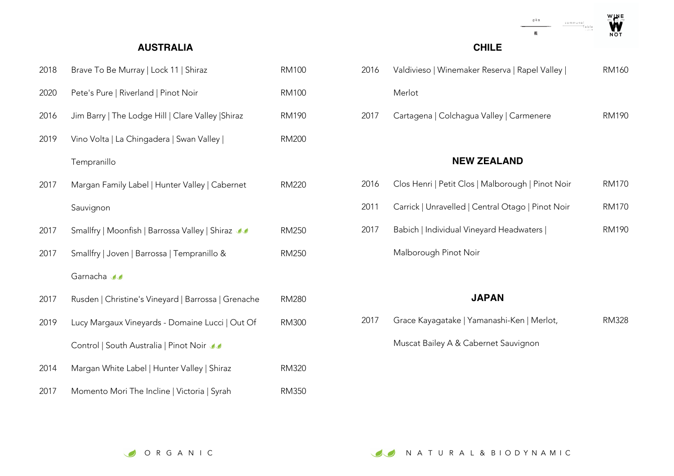### **AUSTRALIA**

| 2018 | Brave To Be Murray   Lock 11   Shiraz               | <b>RM100</b> |
|------|-----------------------------------------------------|--------------|
| 2020 | Pete's Pure   Riverland   Pinot Noir                | <b>RM100</b> |
| 2016 | Jim Barry   The Lodge Hill   Clare Valley   Shiraz  | <b>RM190</b> |
| 2019 | Vino Volta   La Chingadera   Swan Valley            | <b>RM200</b> |
|      | Tempranillo                                         |              |
| 2017 | Margan Family Label   Hunter Valley   Cabernet      | <b>RM220</b> |
|      | Sauvignon                                           |              |
| 2017 | Smallfry   Moonfish   Barrossa Valley   Shiraz      | <b>RM250</b> |
| 2017 | Smallfry   Joven   Barrossa   Tempranillo &         | <b>RM250</b> |
|      | Garnacha JJ                                         |              |
| 2017 | Rusden   Christine's Vineyard   Barrossa   Grenache | <b>RM280</b> |
| 2019 | Lucy Margaux Vineyards - Domaine Lucci   Out Of     | <b>RM300</b> |
|      | Control   South Australia   Pinot Noir              |              |
| 2014 | Margan White Label   Hunter Valley   Shiraz         | <b>RM320</b> |
| 2017 | Momento Mori The Incline   Victoria   Syrah         | <b>RM350</b> |

#### **CHILE**

| 2016 | Valdivieso   Winemaker Reserva   Rapel Valley | RM160 |
|------|-----------------------------------------------|-------|
|      | Merlot                                        |       |

**WE** 

 $\begin{array}{cc}\n\mathfrak{g}\bar{\mathfrak{e}}\mathfrak{n}\n\end{array}\n\qquad \qquad \begin{array}{cc}\n\mathfrak{communal} \\
\hline\n\mathfrak{f}_{\mathfrak{g}}\mathfrak{b}1\mathfrak{e}\n\end{array}$ 

 $\overline{H}$ 

2017 Cartagena | Colchagua Valley | Carmenere RM190

### **NEW ZEALAND**

| 2016 | Clos Henri   Petit Clos   Malborough   Pinot Noir | RM170 |
|------|---------------------------------------------------|-------|
| 2011 | Carrick   Unravelled   Central Otago   Pinot Noir | RM170 |
| 2017 | Babich   Individual Vineyard Headwaters           | RM190 |
|      | Malborough Pinot Noir                             |       |

### **JAPAN**

2017 Grace Kayagatake | Yamanashi-Ken | Merlot, RM328

Muscat Bailey A & Cabernet Sauvignon